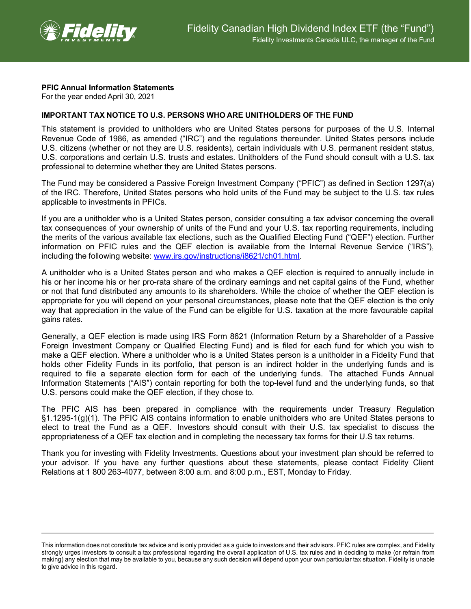

## **PFIC Annual Information Statements**

For the year ended April 30, 2021

## **IMPORTANT TAX NOTICE TO U.S. PERSONS WHO ARE UNITHOLDERS OF THE FUND**

This statement is provided to unitholders who are United States persons for purposes of the U.S. Internal Revenue Code of 1986, as amended ("IRC") and the regulations thereunder. United States persons include U.S. citizens (whether or not they are U.S. residents), certain individuals with U.S. permanent resident status, U.S. corporations and certain U.S. trusts and estates. Unitholders of the Fund should consult with a U.S. tax professional to determine whether they are United States persons.

The Fund may be considered a Passive Foreign Investment Company ("PFIC") as defined in Section 1297(a) of the IRC. Therefore, United States persons who hold units of the Fund may be subject to the U.S. tax rules applicable to investments in PFICs.

If you are a unitholder who is a United States person, consider consulting a tax advisor concerning the overall tax consequences of your ownership of units of the Fund and your U.S. tax reporting requirements, including the merits of the various available tax elections, such as the Qualified Electing Fund ("QEF") election. Further information on PFIC rules and the QEF election is available from the Internal Revenue Service ("IRS"), including the following website: [www.irs.gov/instructions/i8621/ch01.html.](http://www.irs.gov/instructions/i8621/ch01.html)

A unitholder who is a United States person and who makes a QEF election is required to annually include in his or her income his or her pro-rata share of the ordinary earnings and net capital gains of the Fund, whether or not that fund distributed any amounts to its shareholders. While the choice of whether the QEF election is appropriate for you will depend on your personal circumstances, please note that the QEF election is the only way that appreciation in the value of the Fund can be eligible for U.S. taxation at the more favourable capital gains rates.

Generally, a QEF election is made using IRS Form 8621 (Information Return by a Shareholder of a Passive Foreign Investment Company or Qualified Electing Fund) and is filed for each fund for which you wish to make a QEF election. Where a unitholder who is a United States person is a unitholder in a Fidelity Fund that holds other Fidelity Funds in its portfolio, that person is an indirect holder in the underlying funds and is required to file a separate election form for each of the underlying funds. The attached Funds Annual Information Statements ("AIS") contain reporting for both the top-level fund and the underlying funds, so that U.S. persons could make the QEF election, if they chose to.

The PFIC AIS has been prepared in compliance with the requirements under Treasury Regulation §1.1295-1(g)(1). The PFIC AIS contains information to enable unitholders who are United States persons to elect to treat the Fund as a QEF. Investors should consult with their U.S. tax specialist to discuss the appropriateness of a QEF tax election and in completing the necessary tax forms for their U.S tax returns.

Thank you for investing with Fidelity Investments. Questions about your investment plan should be referred to your advisor. If you have any further questions about these statements, please contact Fidelity Client Relations at 1 800 263-4077, between 8:00 a.m. and 8:00 p.m., EST, Monday to Friday.

This information does not constitute tax advice and is only provided as a guide to investors and their advisors. PFIC rules are complex, and Fidelity strongly urges investors to consult a tax professional regarding the overall application of U.S. tax rules and in deciding to make (or refrain from making) any election that may be available to you, because any such decision will depend upon your own particular tax situation. Fidelity is unable to give advice in this regard.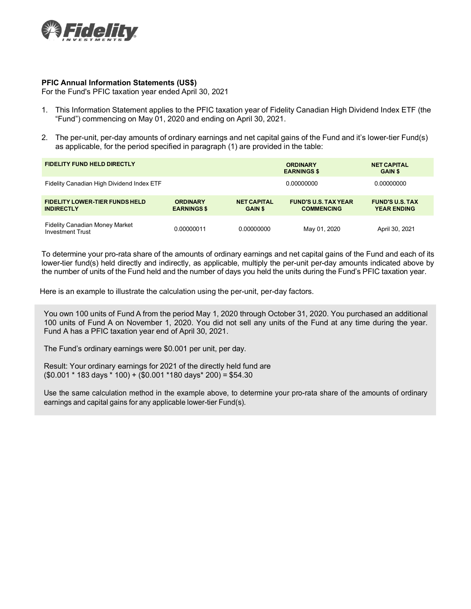

## **PFIC Annual Information Statements (US\$)**

For the Fund's PFIC taxation year ended April 30, 2021

- 1. This Information Statement applies to the PFIC taxation year of Fidelity Canadian High Dividend Index ETF (the "Fund") commencing on May 01, 2020 and ending on April 30, 2021.
- 2. The per-unit, per-day amounts of ordinary earnings and net capital gains of the Fund and it's lower-tier Fund(s) as applicable, for the period specified in paragraph (1) are provided in the table:

| <b>FIDELITY FUND HELD DIRECTLY</b>                               |                                       |                                      | <b>ORDINARY</b><br><b>EARNINGS \$</b>            | <b>NET CAPITAL</b><br><b>GAIN \$</b>         |
|------------------------------------------------------------------|---------------------------------------|--------------------------------------|--------------------------------------------------|----------------------------------------------|
| Fidelity Canadian High Dividend Index ETF                        |                                       |                                      | 0.00000000                                       | 0.00000000                                   |
| <b>FIDELITY LOWER-TIER FUNDS HELD</b><br><b>INDIRECTLY</b>       | <b>ORDINARY</b><br><b>EARNINGS \$</b> | <b>NET CAPITAL</b><br><b>GAIN \$</b> | <b>FUND'S U.S. TAX YEAR</b><br><b>COMMENCING</b> | <b>FUND'S U.S. TAX</b><br><b>YEAR ENDING</b> |
| <b>Fidelity Canadian Money Market</b><br><b>Investment Trust</b> | 0.00000011                            | 0.00000000                           | May 01, 2020                                     | April 30, 2021                               |

To determine your pro-rata share of the amounts of ordinary earnings and net capital gains of the Fund and each of its lower-tier fund(s) held directly and indirectly, as applicable, multiply the per-unit per-day amounts indicated above by the number of units of the Fund held and the number of days you held the units during the Fund's PFIC taxation year.

Here is an example to illustrate the calculation using the per-unit, per-day factors.

You own 100 units of Fund A from the period May 1, 2020 through October 31, 2020. You purchased an additional 100 units of Fund A on November 1, 2020. You did not sell any units of the Fund at any time during the year. Fund A has a PFIC taxation year end of April 30, 2021.

The Fund's ordinary earnings were \$0.001 per unit, per day.

Result: Your ordinary earnings for 2021 of the directly held fund are (\$0.001 \* 183 days \* 100) + (\$0.001 \*180 days\* 200) = \$54.30

Use the same calculation method in the example above, to determine your pro-rata share of the amounts of ordinary earnings and capital gains for any applicable lower-tier Fund(s).